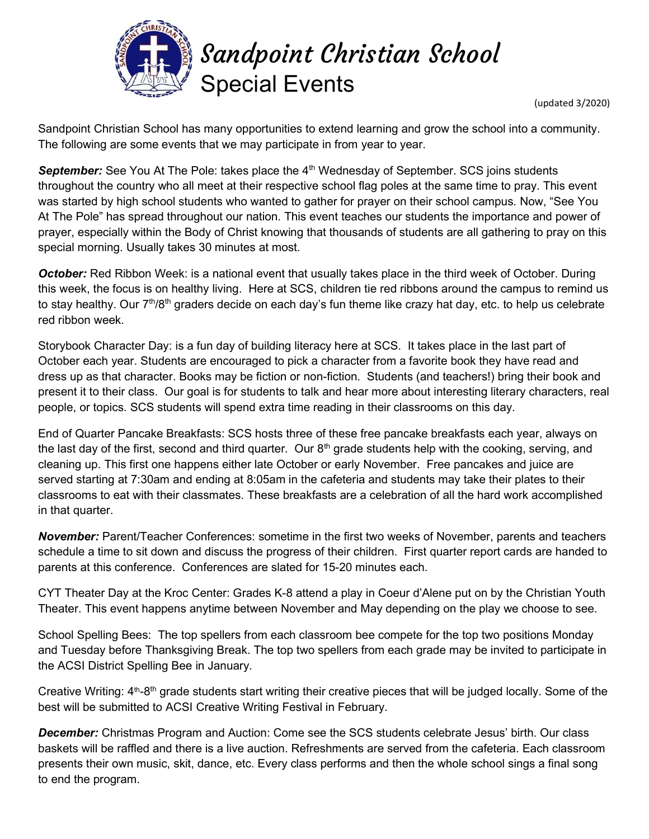

Sandpoint Christian School Special Events

(updated 3/2020)

Sandpoint Christian School has many opportunities to extend learning and grow the school into a community. The following are some events that we may participate in from year to year.

September: See You At The Pole: takes place the 4<sup>th</sup> Wednesday of September. SCS joins students throughout the country who all meet at their respective school flag poles at the same time to pray. This event was started by high school students who wanted to gather for prayer on their school campus. Now, "See You At The Pole" has spread throughout our nation. This event teaches our students the importance and power of prayer, especially within the Body of Christ knowing that thousands of students are all gathering to pray on this special morning. Usually takes 30 minutes at most.

October: Red Ribbon Week: is a national event that usually takes place in the third week of October. During this week, the focus is on healthy living. Here at SCS, children tie red ribbons around the campus to remind us to stay healthy. Our  $7<sup>th</sup>/8<sup>th</sup>$  graders decide on each day's fun theme like crazy hat day, etc. to help us celebrate red ribbon week.

Storybook Character Day: is a fun day of building literacy here at SCS. It takes place in the last part of October each year. Students are encouraged to pick a character from a favorite book they have read and dress up as that character. Books may be fiction or non-fiction. Students (and teachers!) bring their book and present it to their class. Our goal is for students to talk and hear more about interesting literary characters, real people, or topics. SCS students will spend extra time reading in their classrooms on this day.

End of Quarter Pancake Breakfasts: SCS hosts three of these free pancake breakfasts each year, always on the last day of the first, second and third quarter. Our  $8<sup>th</sup>$  grade students help with the cooking, serving, and cleaning up. This first one happens either late October or early November. Free pancakes and juice are served starting at 7:30am and ending at 8:05am in the cafeteria and students may take their plates to their classrooms to eat with their classmates. These breakfasts are a celebration of all the hard work accomplished in that quarter.

November: Parent/Teacher Conferences: sometime in the first two weeks of November, parents and teachers schedule a time to sit down and discuss the progress of their children. First quarter report cards are handed to parents at this conference. Conferences are slated for 15-20 minutes each.

CYT Theater Day at the Kroc Center: Grades K-8 attend a play in Coeur d'Alene put on by the Christian Youth Theater. This event happens anytime between November and May depending on the play we choose to see.

School Spelling Bees: The top spellers from each classroom bee compete for the top two positions Monday and Tuesday before Thanksgiving Break. The top two spellers from each grade may be invited to participate in the ACSI District Spelling Bee in January.

Creative Writing: 4<sup>th</sup>-8<sup>th</sup> grade students start writing their creative pieces that will be judged locally. Some of the best will be submitted to ACSI Creative Writing Festival in February.

**December:** Christmas Program and Auction: Come see the SCS students celebrate Jesus' birth. Our class baskets will be raffled and there is a live auction. Refreshments are served from the cafeteria. Each classroom presents their own music, skit, dance, etc. Every class performs and then the whole school sings a final song to end the program.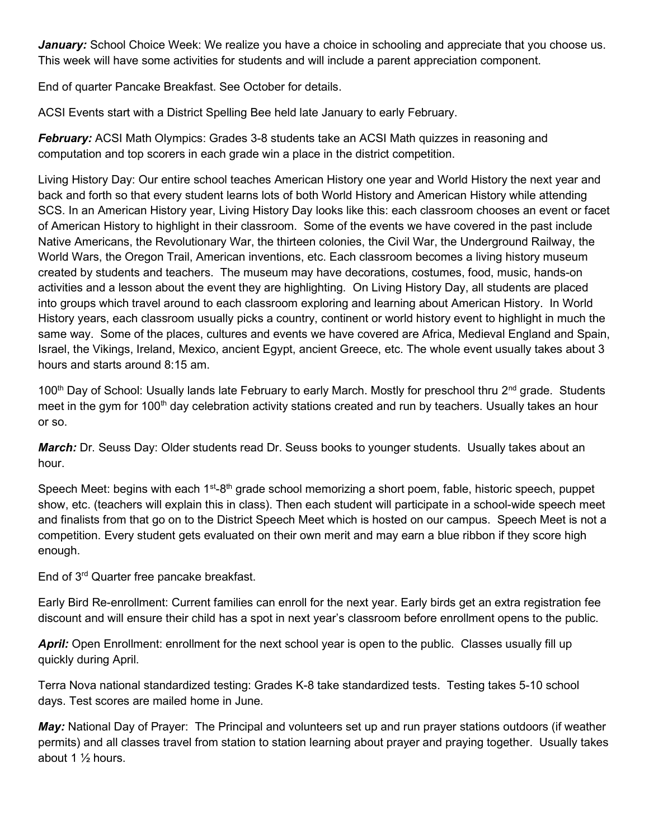January: School Choice Week: We realize you have a choice in schooling and appreciate that you choose us. This week will have some activities for students and will include a parent appreciation component.

End of quarter Pancake Breakfast. See October for details.

ACSI Events start with a District Spelling Bee held late January to early February.

February: ACSI Math Olympics: Grades 3-8 students take an ACSI Math quizzes in reasoning and computation and top scorers in each grade win a place in the district competition.

Living History Day: Our entire school teaches American History one year and World History the next year and back and forth so that every student learns lots of both World History and American History while attending SCS. In an American History year, Living History Day looks like this: each classroom chooses an event or facet of American History to highlight in their classroom. Some of the events we have covered in the past include Native Americans, the Revolutionary War, the thirteen colonies, the Civil War, the Underground Railway, the World Wars, the Oregon Trail, American inventions, etc. Each classroom becomes a living history museum created by students and teachers. The museum may have decorations, costumes, food, music, hands-on activities and a lesson about the event they are highlighting. On Living History Day, all students are placed into groups which travel around to each classroom exploring and learning about American History. In World History years, each classroom usually picks a country, continent or world history event to highlight in much the same way. Some of the places, cultures and events we have covered are Africa, Medieval England and Spain, Israel, the Vikings, Ireland, Mexico, ancient Egypt, ancient Greece, etc. The whole event usually takes about 3 hours and starts around 8:15 am.

100<sup>th</sup> Day of School: Usually lands late February to early March. Mostly for preschool thru 2<sup>nd</sup> grade. Students meet in the gym for 100<sup>th</sup> day celebration activity stations created and run by teachers. Usually takes an hour or so.

**March:** Dr. Seuss Day: Older students read Dr. Seuss books to younger students. Usually takes about an hour.

Speech Meet: begins with each 1<sup>st</sup>-8<sup>th</sup> grade school memorizing a short poem, fable, historic speech, puppet show, etc. (teachers will explain this in class). Then each student will participate in a school-wide speech meet and finalists from that go on to the District Speech Meet which is hosted on our campus. Speech Meet is not a competition. Every student gets evaluated on their own merit and may earn a blue ribbon if they score high enough.

End of 3rd Quarter free pancake breakfast.

Early Bird Re-enrollment: Current families can enroll for the next year. Early birds get an extra registration fee discount and will ensure their child has a spot in next year's classroom before enrollment opens to the public.

April: Open Enrollment: enrollment for the next school year is open to the public. Classes usually fill up quickly during April.

Terra Nova national standardized testing: Grades K-8 take standardized tests. Testing takes 5-10 school days. Test scores are mailed home in June.

May: National Day of Prayer: The Principal and volunteers set up and run prayer stations outdoors (if weather permits) and all classes travel from station to station learning about prayer and praying together. Usually takes about 1 ½ hours.